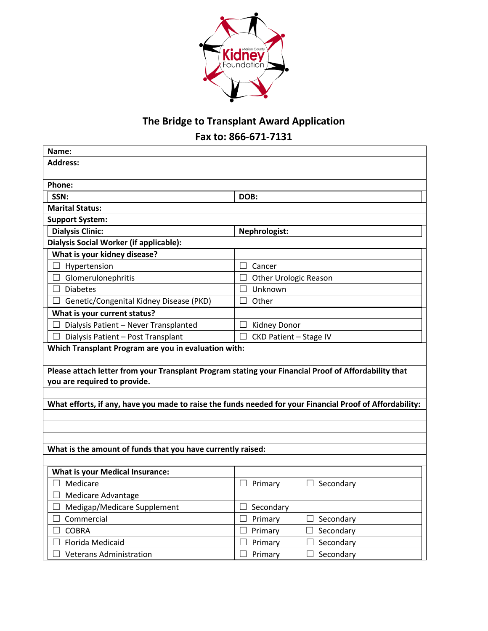

# **The Bridge to Transplant Award Application**

**Fax to: 866-671-7131**

| Name:                                                                                                                                |                                                                                                          |  |  |  |  |
|--------------------------------------------------------------------------------------------------------------------------------------|----------------------------------------------------------------------------------------------------------|--|--|--|--|
| <b>Address:</b>                                                                                                                      |                                                                                                          |  |  |  |  |
|                                                                                                                                      |                                                                                                          |  |  |  |  |
| Phone:                                                                                                                               |                                                                                                          |  |  |  |  |
| SSN:                                                                                                                                 | DOB:                                                                                                     |  |  |  |  |
| <b>Marital Status:</b>                                                                                                               |                                                                                                          |  |  |  |  |
| <b>Support System:</b>                                                                                                               |                                                                                                          |  |  |  |  |
| <b>Dialysis Clinic:</b>                                                                                                              | Nephrologist:                                                                                            |  |  |  |  |
| Dialysis Social Worker (if applicable):                                                                                              |                                                                                                          |  |  |  |  |
| What is your kidney disease?                                                                                                         |                                                                                                          |  |  |  |  |
| $\Box$ Hypertension                                                                                                                  | $\Box$<br>Cancer                                                                                         |  |  |  |  |
| $\Box$ Glomerulonephritis<br><b>Diabetes</b>                                                                                         | Other Urologic Reason                                                                                    |  |  |  |  |
| $\Box$                                                                                                                               | Unknown                                                                                                  |  |  |  |  |
| Genetic/Congenital Kidney Disease (PKD)<br>What is your current status?                                                              | Other                                                                                                    |  |  |  |  |
| Dialysis Patient - Never Transplanted                                                                                                | <b>Kidney Donor</b>                                                                                      |  |  |  |  |
| Dialysis Patient - Post Transplant                                                                                                   | <b>CKD Patient - Stage IV</b>                                                                            |  |  |  |  |
| Which Transplant Program are you in evaluation with:                                                                                 |                                                                                                          |  |  |  |  |
| Please attach letter from your Transplant Program stating your Financial Proof of Affordability that<br>you are required to provide. |                                                                                                          |  |  |  |  |
|                                                                                                                                      | What efforts, if any, have you made to raise the funds needed for your Financial Proof of Affordability: |  |  |  |  |
|                                                                                                                                      |                                                                                                          |  |  |  |  |
|                                                                                                                                      |                                                                                                          |  |  |  |  |
| What is the amount of funds that you have currently raised:                                                                          |                                                                                                          |  |  |  |  |
|                                                                                                                                      |                                                                                                          |  |  |  |  |
| <b>What is your Medical Insurance:</b>                                                                                               |                                                                                                          |  |  |  |  |
| Medicare                                                                                                                             | Secondary<br>Primary                                                                                     |  |  |  |  |
| Medicare Advantage<br>$\Box$                                                                                                         |                                                                                                          |  |  |  |  |
| Medigap/Medicare Supplement<br>□                                                                                                     | Secondary<br>ш                                                                                           |  |  |  |  |
| Commercial                                                                                                                           | Primary<br>$\Box$ Secondary                                                                              |  |  |  |  |
| <b>COBRA</b><br>П                                                                                                                    | $\Box$ Secondary<br>$\Box$ Primary                                                                       |  |  |  |  |
| Florida Medicaid                                                                                                                     | Secondary<br>Primary                                                                                     |  |  |  |  |
| $\Box$ Veterans Administration                                                                                                       | $\Box$ Primary<br>$\Box$ Secondary                                                                       |  |  |  |  |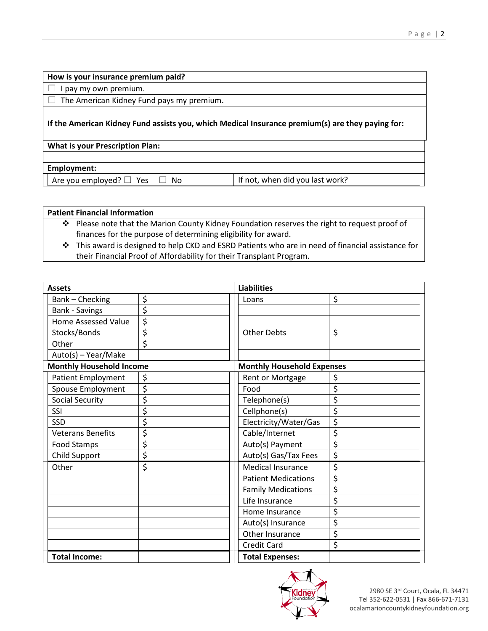#### **How is your insurance premium paid?**

 $\Box$  I pay my own premium.

 $\Box$  The American Kidney Fund pays my premium.

### **If the American Kidney Fund assists you, which Medical Insurance premium(s) are they paying for:**

### **What is your Prescription Plan:**

**Employment:**

Are you employed?  $\Box$  Yes  $\Box$  No  $\Box$  If not, when did you last work?

## **Patient Financial Information**

- \* Please note that the Marion County Kidney Foundation reserves the right to request proof of finances for the purpose of determining eligibility for award.
- This award is designed to help CKD and ESRD Patients who are in need of financial assistance for their Financial Proof of Affordability for their Transplant Program.

| <b>Assets</b>                   |    | <b>Liabilities</b>                |    |  |
|---------------------------------|----|-----------------------------------|----|--|
| Bank - Checking                 | \$ | Loans                             | \$ |  |
| <b>Bank - Savings</b>           | \$ |                                   |    |  |
| <b>Home Assessed Value</b>      | \$ |                                   |    |  |
| Stocks/Bonds                    | \$ | <b>Other Debts</b>                | \$ |  |
| Other                           | \$ |                                   |    |  |
| Auto(s) - Year/Make             |    |                                   |    |  |
| <b>Monthly Household Income</b> |    | <b>Monthly Household Expenses</b> |    |  |
| <b>Patient Employment</b>       | \$ | Rent or Mortgage                  | \$ |  |
| Spouse Employment               | \$ | Food                              | \$ |  |
| <b>Social Security</b>          | \$ | Telephone(s)                      | \$ |  |
| SSI                             | \$ | Cellphone(s)                      | \$ |  |
| SSD                             | \$ | Electricity/Water/Gas             | \$ |  |
| <b>Veterans Benefits</b>        | \$ | Cable/Internet                    | \$ |  |
| Food Stamps                     | \$ | Auto(s) Payment                   | \$ |  |
| Child Support                   | \$ | Auto(s) Gas/Tax Fees              | \$ |  |
| Other                           | \$ | <b>Medical Insurance</b>          | \$ |  |
|                                 |    | <b>Patient Medications</b>        | \$ |  |
|                                 |    | <b>Family Medications</b>         | \$ |  |
|                                 |    | Life Insurance                    | \$ |  |
|                                 |    | Home Insurance                    | \$ |  |
|                                 |    | Auto(s) Insurance                 | \$ |  |
|                                 |    | Other Insurance                   | \$ |  |
|                                 |    | <b>Credit Card</b>                | \$ |  |
| <b>Total Income:</b>            |    | <b>Total Expenses:</b>            |    |  |

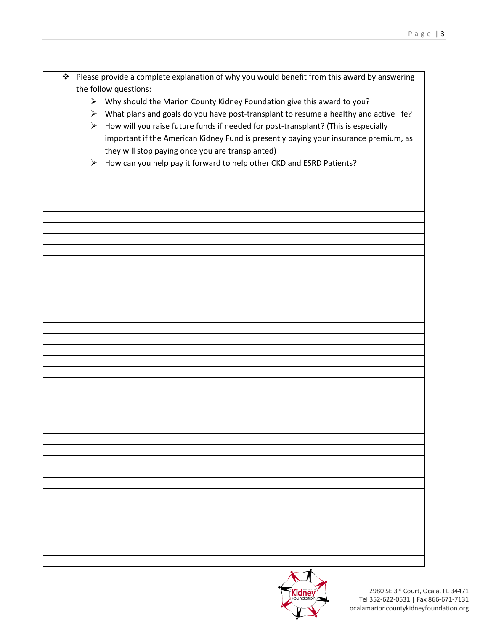- \* Please provide a complete explanation of why you would benefit from this award by answering the follow questions:
	- $\triangleright$  Why should the Marion County Kidney Foundation give this award to you?
	- $\triangleright$  What plans and goals do you have post-transplant to resume a healthy and active life?
	- $\triangleright$  How will you raise future funds if needed for post-transplant? (This is especially important if the American Kidney Fund is presently paying your insurance premium, as they will stop paying once you are transplanted)
	- $\triangleright$  How can you help pay it forward to help other CKD and ESRD Patients?



2980 SE 3rd Court, Ocala, FL 34471 Tel 352-622-0531 | Fax 866-671-7131 ocalamarioncountykidneyfoundation.org